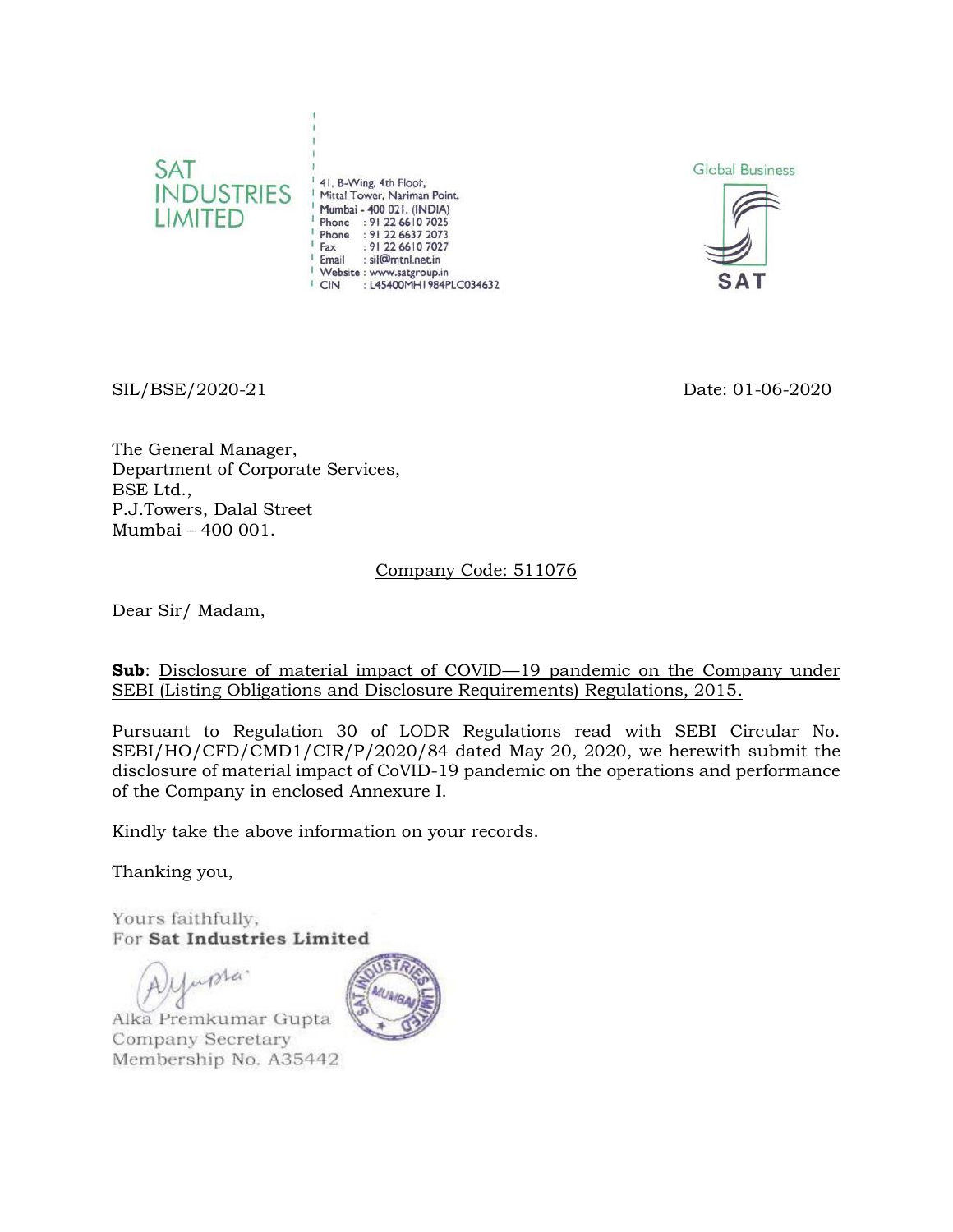

<sup>1</sup> 41, B-Wing, 4th Floor,<br><sup>1</sup> Mittal Tower, Nariman Point, Mumbai - 400 021. (INDIA) Phone : 91 22 6610 7025 Phone : 91 22 6637 2073 : 91 22 6610 7027 Fax Email : sil@mtnl.net.in Website : www.satgroup.in CIN : L45400MH1984PLC034632





SIL/BSE/2020-21 Date: 01-06-2020

The General Manager, Department of Corporate Services, BSE Ltd., P.J.Towers, Dalal Street Mumbai – 400 001.

## Company Code: 511076

Dear Sir/ Madam,

**Sub**: Disclosure of material impact of COVID—19 pandemic on the Company under SEBI (Listing Obligations and Disclosure Requirements) Regulations, 2015.

Pursuant to Regulation 30 of LODR Regulations read with SEBI Circular No. SEBI/HO/CFD/CMD1/CIR/P/2020/84 dated May 20, 2020, we herewith submit the disclosure of material impact of CoVID-19 pandemic on the operations and performance of the Company in enclosed Annexure I.

Kindly take the above information on your records.

Thanking you,

Yours faithfully, For Sat Industries Limited

upta. Alka Premkumar Gupta Company Secretary Membership No. A35442

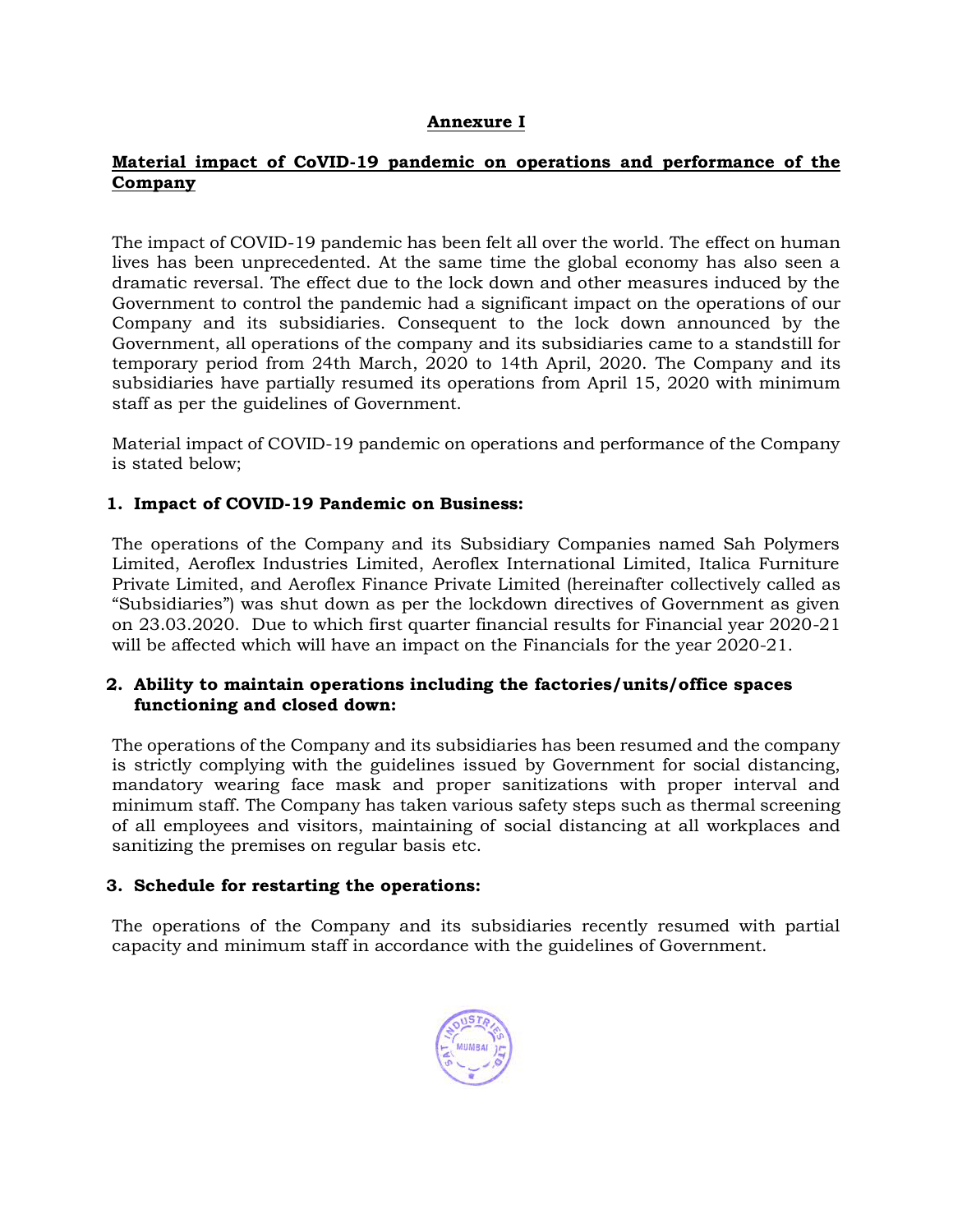#### **Annexure I**

## **Material impact of CoVID-19 pandemic on operations and performance of the Company**

The impact of COVID-19 pandemic has been felt all over the world. The effect on human lives has been unprecedented. At the same time the global economy has also seen a dramatic reversal. The effect due to the lock down and other measures induced by the Government to control the pandemic had a significant impact on the operations of our Company and its subsidiaries. Consequent to the lock down announced by the Government, all operations of the company and its subsidiaries came to a standstill for temporary period from 24th March, 2020 to 14th April, 2020. The Company and its subsidiaries have partially resumed its operations from April 15, 2020 with minimum staff as per the guidelines of Government.

Material impact of COVID-19 pandemic on operations and performance of the Company is stated below;

## **1. Impact of COVID-19 Pandemic on Business:**

The operations of the Company and its Subsidiary Companies named Sah Polymers Limited, Aeroflex Industries Limited, Aeroflex International Limited, Italica Furniture Private Limited, and Aeroflex Finance Private Limited (hereinafter collectively called as "Subsidiaries") was shut down as per the lockdown directives of Government as given on 23.03.2020. Due to which first quarter financial results for Financial year 2020-21 will be affected which will have an impact on the Financials for the year 2020-21.

## **2. Ability to maintain operations including the factories/units/office spaces functioning and closed down:**

The operations of the Company and its subsidiaries has been resumed and the company is strictly complying with the guidelines issued by Government for social distancing, mandatory wearing face mask and proper sanitizations with proper interval and minimum staff. The Company has taken various safety steps such as thermal screening of all employees and visitors, maintaining of social distancing at all workplaces and sanitizing the premises on regular basis etc.

#### **3. Schedule for restarting the operations:**

The operations of the Company and its subsidiaries recently resumed with partial capacity and minimum staff in accordance with the guidelines of Government.